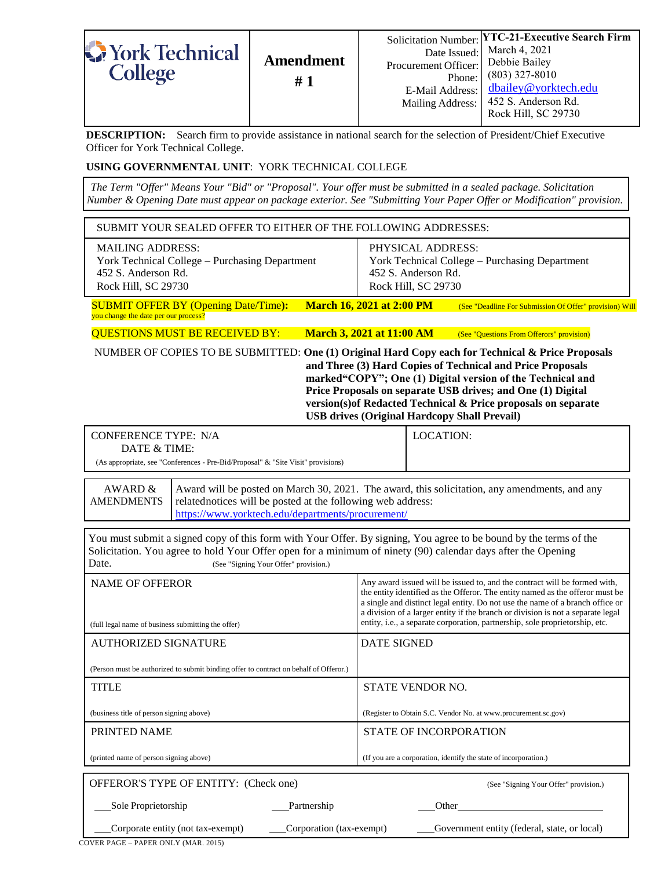| York Technical<br><b>College</b> | <b>Amendment</b><br>#1 | Procurement Officer: Debbie Bailey<br>Phone: I<br>E-Mail Address: I | Solicitation Number: YTC-21-Executive Search Firm<br>Date Issued: March 4, 2021<br>$(803)$ 327-8010<br>dbailey@yorktech.edu<br>Mailing Address:   452 S. Anderson Rd.<br>Rock Hill, SC 29730 |
|----------------------------------|------------------------|---------------------------------------------------------------------|----------------------------------------------------------------------------------------------------------------------------------------------------------------------------------------------|
|----------------------------------|------------------------|---------------------------------------------------------------------|----------------------------------------------------------------------------------------------------------------------------------------------------------------------------------------------|

**DESCRIPTION:** Search firm to provide assistance in national search for the selection of President/Chief Executive Officer for York Technical College.

## **USING GOVERNMENTAL UNIT**: YORK TECHNICAL COLLEGE

*The Term "Offer" Means Your "Bid" or "Proposal". Your offer must be submitted in a sealed package. Solicitation Number & Opening Date must appear on package exterior. See "Submitting Your Paper Offer or Modification" provision.*

| SUBMIT YOUR SEALED OFFER TO EITHER OF THE FOLLOWING ADDRESSES:                                                                                                                                                                                                                                                                                                                                                        |                                                                                                                                                                                                                                                                                                                                                                                                                |  |  |  |
|-----------------------------------------------------------------------------------------------------------------------------------------------------------------------------------------------------------------------------------------------------------------------------------------------------------------------------------------------------------------------------------------------------------------------|----------------------------------------------------------------------------------------------------------------------------------------------------------------------------------------------------------------------------------------------------------------------------------------------------------------------------------------------------------------------------------------------------------------|--|--|--|
| <b>MAILING ADDRESS:</b><br>York Technical College - Purchasing Department<br>452 S. Anderson Rd.<br>Rock Hill, SC 29730                                                                                                                                                                                                                                                                                               | PHYSICAL ADDRESS:<br>York Technical College - Purchasing Department<br>452 S. Anderson Rd.<br>Rock Hill, SC 29730                                                                                                                                                                                                                                                                                              |  |  |  |
| <b>SUBMIT OFFER BY (Opening Date/Time):</b><br>you change the date per our process?                                                                                                                                                                                                                                                                                                                                   | <b>March 16, 2021 at 2:00 PM</b><br>(See "Deadline For Submission Of Offer" provision) Will                                                                                                                                                                                                                                                                                                                    |  |  |  |
| <b>QUESTIONS MUST BE RECEIVED BY:</b>                                                                                                                                                                                                                                                                                                                                                                                 | <b>March 3, 2021 at 11:00 AM</b><br>(See "Questions From Offerors" provision)                                                                                                                                                                                                                                                                                                                                  |  |  |  |
| NUMBER OF COPIES TO BE SUBMITTED: One (1) Original Hard Copy each for Technical & Price Proposals<br>and Three (3) Hard Copies of Technical and Price Proposals<br>marked"COPY"; One (1) Digital version of the Technical and<br>Price Proposals on separate USB drives; and One (1) Digital<br>version(s) of Redacted Technical & Price proposals on separate<br><b>USB drives (Original Hardcopy Shall Prevail)</b> |                                                                                                                                                                                                                                                                                                                                                                                                                |  |  |  |
| <b>CONFERENCE TYPE: N/A</b>                                                                                                                                                                                                                                                                                                                                                                                           | <b>LOCATION:</b>                                                                                                                                                                                                                                                                                                                                                                                               |  |  |  |
| DATE & TIME:<br>(As appropriate, see "Conferences - Pre-Bid/Proposal" & "Site Visit" provisions)                                                                                                                                                                                                                                                                                                                      |                                                                                                                                                                                                                                                                                                                                                                                                                |  |  |  |
| https://www.yorktech.edu/departments/procurement/<br>You must submit a signed copy of this form with Your Offer. By signing, You agree to be bound by the terms of the<br>Solicitation. You agree to hold Your Offer open for a minimum of ninety (90) calendar days after the Opening<br>Date.<br>(See "Signing Your Offer" provision.)                                                                              |                                                                                                                                                                                                                                                                                                                                                                                                                |  |  |  |
| <b>NAME OF OFFEROR</b><br>(full legal name of business submitting the offer)                                                                                                                                                                                                                                                                                                                                          | Any award issued will be issued to, and the contract will be formed with,<br>the entity identified as the Offeror. The entity named as the offeror must be<br>a single and distinct legal entity. Do not use the name of a branch office or<br>a division of a larger entity if the branch or division is not a separate legal<br>entity, i.e., a separate corporation, partnership, sole proprietorship, etc. |  |  |  |
| <b>AUTHORIZED SIGNATURE</b>                                                                                                                                                                                                                                                                                                                                                                                           | <b>DATE SIGNED</b>                                                                                                                                                                                                                                                                                                                                                                                             |  |  |  |
| (Person must be authorized to submit binding offer to contract on behalf of Offeror.)                                                                                                                                                                                                                                                                                                                                 |                                                                                                                                                                                                                                                                                                                                                                                                                |  |  |  |
| <b>TITLE</b>                                                                                                                                                                                                                                                                                                                                                                                                          | STATE VENDOR NO.                                                                                                                                                                                                                                                                                                                                                                                               |  |  |  |
| (business title of person signing above)                                                                                                                                                                                                                                                                                                                                                                              | (Register to Obtain S.C. Vendor No. at www.procurement.sc.gov)                                                                                                                                                                                                                                                                                                                                                 |  |  |  |
| PRINTED NAME                                                                                                                                                                                                                                                                                                                                                                                                          | STATE OF INCORPORATION                                                                                                                                                                                                                                                                                                                                                                                         |  |  |  |
| (printed name of person signing above)                                                                                                                                                                                                                                                                                                                                                                                | (If you are a corporation, identify the state of incorporation.)                                                                                                                                                                                                                                                                                                                                               |  |  |  |
| OFFEROR'S TYPE OF ENTITY: (Check one)                                                                                                                                                                                                                                                                                                                                                                                 | (See "Signing Your Offer" provision.)                                                                                                                                                                                                                                                                                                                                                                          |  |  |  |
| Sole Proprietorship<br>Partnership                                                                                                                                                                                                                                                                                                                                                                                    | Other                                                                                                                                                                                                                                                                                                                                                                                                          |  |  |  |
| Corporate entity (not tax-exempt)<br>Corporation (tax-exempt)                                                                                                                                                                                                                                                                                                                                                         |                                                                                                                                                                                                                                                                                                                                                                                                                |  |  |  |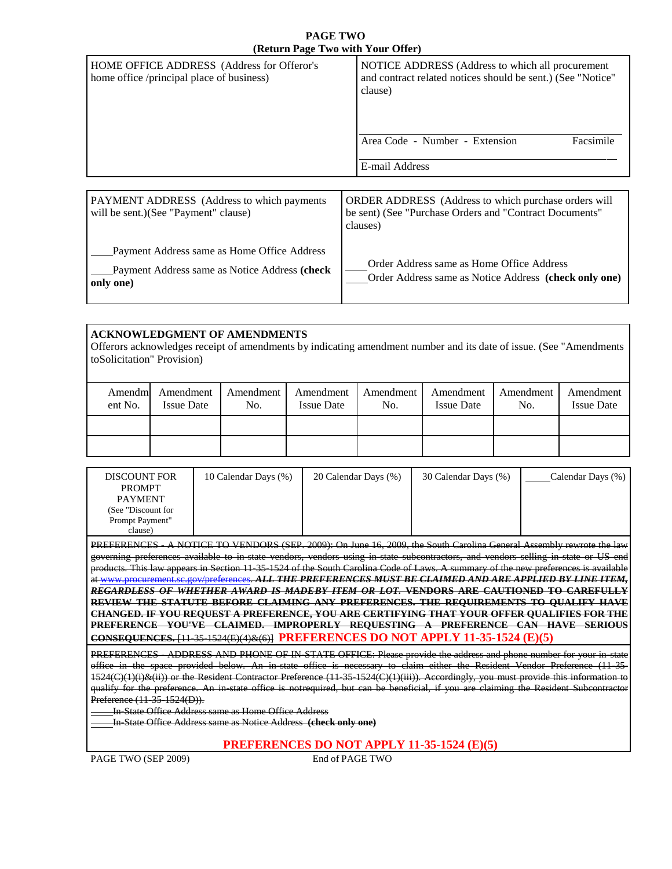#### **PAGE TWO (Return Page Two with Your Offer)**

| $\left($ Return I age I wo with Tour Offer                                              |                                                                                                                             |  |  |  |  |
|-----------------------------------------------------------------------------------------|-----------------------------------------------------------------------------------------------------------------------------|--|--|--|--|
| HOME OFFICE ADDRESS (Address for Offeror's<br>home office /principal place of business) | NOTICE ADDRESS (Address to which all procurement<br>and contract related notices should be sent.) (See "Notice"<br>clause)  |  |  |  |  |
|                                                                                         | Facsimile<br>Area Code - Number - Extension<br>E-mail Address                                                               |  |  |  |  |
|                                                                                         |                                                                                                                             |  |  |  |  |
| PAYMENT ADDRESS (Address to which payments<br>will be sent.) (See "Payment" clause)     | ORDER ADDRESS (Address to which purchase orders will<br>be sent) (See "Purchase Orders and "Contract Documents"<br>clauses) |  |  |  |  |
| Payment Address same as Home Office Address                                             |                                                                                                                             |  |  |  |  |

| Payment Address same as Notice Address (check | Order Address same as Home Office Address             |  |  |
|-----------------------------------------------|-------------------------------------------------------|--|--|
| only one)                                     | Order Address same as Notice Address (check only one) |  |  |

### **ACKNOWLEDGMENT OF AMENDMENTS**

Offerors acknowledges receipt of amendments by indicating amendment number and its date of issue. (See "Amendments toSolicitation" Provision)

| Amendm<br>ent No. | Amendment<br><b>Issue Date</b> | Amendment<br>No. | Amendment<br><b>Issue Date</b> | Amendment<br>No. | Amendment<br><b>Issue Date</b> | Amendment<br>No. | Amendment<br><b>Issue Date</b> |
|-------------------|--------------------------------|------------------|--------------------------------|------------------|--------------------------------|------------------|--------------------------------|
|                   |                                |                  |                                |                  |                                |                  |                                |
|                   |                                |                  |                                |                  |                                |                  |                                |

| <b>DISCOUNT FOR</b><br><b>PROMPT</b>                                                                                     | 10 Calendar Days (%) | 20 Calendar Days (%) | 30 Calendar Days (%) | Calendar Days (%) |  |
|--------------------------------------------------------------------------------------------------------------------------|----------------------|----------------------|----------------------|-------------------|--|
|                                                                                                                          |                      |                      |                      |                   |  |
| <b>PAYMENT</b>                                                                                                           |                      |                      |                      |                   |  |
| (See "Discount for                                                                                                       |                      |                      |                      |                   |  |
| Prompt Payment"                                                                                                          |                      |                      |                      |                   |  |
| clause)                                                                                                                  |                      |                      |                      |                   |  |
| MOTICE TO VEMPORE (EED 2000), On Line 16, 2000, the Bright Constitute Constant Associated the Line<br><b>DDEEEDEMAEC</b> |                      |                      |                      |                   |  |

/ENDORS (SEP. 2009): On June 16, 2009, the South Carolina General Assembly governing preferences available to in-state vendors, vendors using in-state subcontractors, and vendors selling in-state or US end products. This law appears in Section 11-35-1524 of the South Carolina Code of Laws. A summary of the new preferences is available a[t www.procurement.sc.gov/preferences.](http://www.procurement.sc.gov/preferences) *ALL THE PREFERENCES MUST BE CLAIMED AND ARE APPLIED BY LINE ITEM, REGARDLESS OF WHETHER AWARD IS MADEBY ITEM OR LOT.* **VENDORS ARE CAUTIONED TO CAREFULLY REVIEW THE STATUTE BEFORE CLAIMING ANY PREFERENCES. THE REQUIREMENTS TO QUALIFY HAVE CHANGED. IF YOU REQUEST A PREFERENCE, YOU ARE CERTIFYING THAT YOUR OFFER QUALIFIES FOR THE PREFERENCE YOU'VE CLAIMED. IMPROPERLY REQUESTING A PREFERENCE CAN HAVE SERIOUS CONSEQUENCES.** [11-35-1524(E)(4)&(6)] **PREFERENCES DO NOT APPLY 11-35-1524 (E)(5)**

PREFERENCES ADDRESS AND PHONE OF IN-STATE OFFICE: Please provide the address and phone number for your in-state office in the space provided below. An in-state office is necessary to claim either the Resident Vendor Preference (11-35- 1524(C)(1)(i)&(ii)) or the Resident Contractor Preference (11-35-1524(C)(1)(iii)). Accordingly, you must provide this information to qualify for the preference. An in-state office is notrequired, but can be beneficial, if you are claiming the Resident Subcontractor Preference (11-35-1524(D)).

In-State Office Address same as Home Office Address

In-State Office Address same as Notice Address **(check only one)**

#### **PREFERENCES DO NOT APPLY 11-35-1524 (E)(5)**

PAGE TWO (SEP 2009) End of PAGE TWO